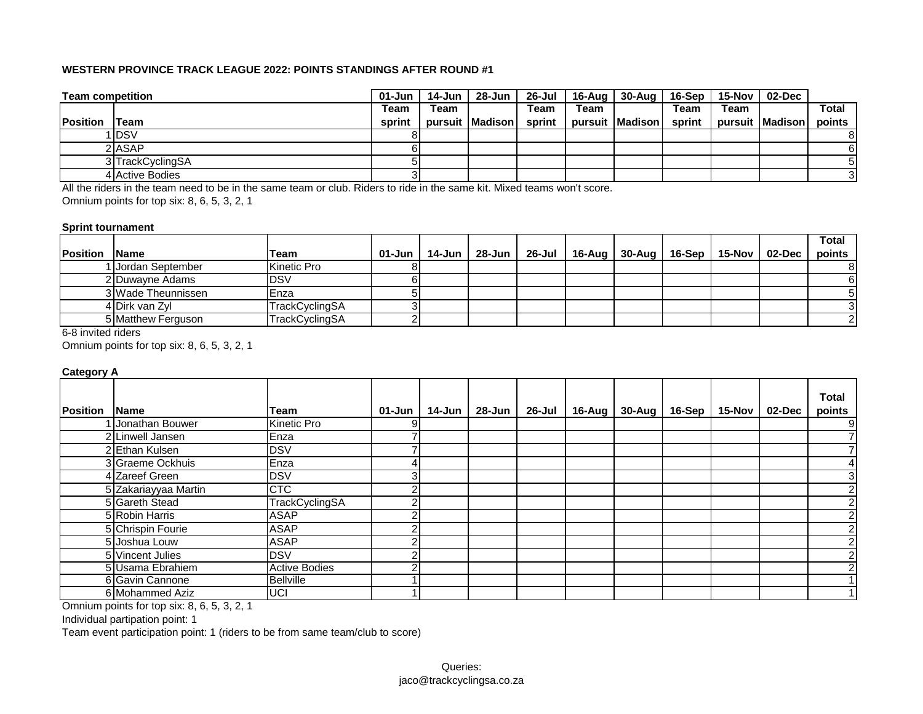| <b>Team competition</b> |                  | 01-Jun | 14-Jun | 28-Jun            |        |      | 26-Jul 16-Aug 30-Aug | 16-Sep | 15-Nov l | 02-Dec          |              |
|-------------------------|------------------|--------|--------|-------------------|--------|------|----------------------|--------|----------|-----------------|--------------|
|                         |                  | Team   | Team   |                   | Team   | Team |                      | Team   | Team     |                 | <b>Total</b> |
| <b>Position</b>         | <b>ITeam</b>     | sprint |        | pursuit   Madison | sprint |      | pursuit Madison      | sprint |          | pursuit Madison | points       |
|                         | 1 IDSV           |        |        |                   |        |      |                      |        |          |                 | 8            |
|                         | 2 ASAP           |        |        |                   |        |      |                      |        |          |                 | 61           |
|                         | 3 TrackCyclingSA |        |        |                   |        |      |                      |        |          |                 |              |
|                         | 4 Active Bodies  |        |        |                   |        |      |                      |        |          |                 |              |

All the riders in the team need to be in the same team or club. Riders to ride in the same kit. Mixed teams won't score.

Omnium points for top six: 8, 6, 5, 3, 2, 1

#### **Sprint tournament**

|                 |                    |                       |            |        |        |                                                     |  |  | <b>Total</b> |
|-----------------|--------------------|-----------------------|------------|--------|--------|-----------------------------------------------------|--|--|--------------|
| <b>Position</b> | <b>Name</b>        | Team                  | $01 - Jun$ | 14-Jun | 28-Jun | 26-Jul   16-Aug   30-Aug   16-Sep   15-Nov   02-Dec |  |  | points       |
|                 | 1 Jordan September | <b>Kinetic Pro</b>    |            |        |        |                                                     |  |  |              |
|                 | 2 Duwayne Adams    | IDSV                  |            |        |        |                                                     |  |  |              |
|                 | 3 Wade Theunnissen | Enza                  |            |        |        |                                                     |  |  |              |
|                 | 4 Dirk van Zyl     | TrackCyclingSA        |            |        |        |                                                     |  |  |              |
|                 | 5 Matthew Ferguson | <b>TrackCvclingSA</b> |            |        |        |                                                     |  |  |              |

6-8 invited riders

Omnium points for top six: 8, 6, 5, 3, 2, 1

### **Category A**

|                 |                      |                       |        |        |          |                                                     |  |  | <b>Total</b>   |
|-----------------|----------------------|-----------------------|--------|--------|----------|-----------------------------------------------------|--|--|----------------|
| <b>Position</b> | <b>Name</b>          | Team                  | 01-Jun | 14-Jun | 28-Jun l | 26-Jul   16-Aug   30-Aug   16-Sep   15-Nov   02-Dec |  |  | points         |
|                 | I Jonathan Bouwer    | Kinetic Pro           |        |        |          |                                                     |  |  | 9              |
|                 | 2 Linwell Jansen     | Enza                  |        |        |          |                                                     |  |  |                |
|                 | 2 Ethan Kulsen       | <b>DSV</b>            |        |        |          |                                                     |  |  |                |
|                 | 3 Graeme Ockhuis     | Enza                  |        |        |          |                                                     |  |  |                |
|                 | 4 Zareef Green       | <b>DSV</b>            |        |        |          |                                                     |  |  | 3              |
|                 | 5 Zakariayyaa Martin | <b>CTC</b>            |        |        |          |                                                     |  |  | 2              |
|                 | 5 Gareth Stead       | <b>TrackCyclingSA</b> |        |        |          |                                                     |  |  | 2 <sub>1</sub> |
|                 | 5 Robin Harris       | <b>ASAP</b>           |        |        |          |                                                     |  |  | $\overline{2}$ |
|                 | 5 Chrispin Fourie    | <b>ASAP</b>           |        |        |          |                                                     |  |  | 2              |
|                 | 5 Joshua Louw        | <b>ASAP</b>           |        |        |          |                                                     |  |  | 2              |
|                 | 5 Vincent Julies     | <b>DSV</b>            |        |        |          |                                                     |  |  | 2              |
|                 | 5 Usama Ebrahiem     | <b>Active Bodies</b>  |        |        |          |                                                     |  |  | $\overline{2}$ |
|                 | 6 Gavin Cannone      | <b>Bellville</b>      |        |        |          |                                                     |  |  |                |
|                 | 6 Mohammed Aziz      | <b>UCI</b>            |        |        |          |                                                     |  |  |                |

Omnium points for top six: 8, 6, 5, 3, 2, 1

Individual partipation point: 1

Team event participation point: 1 (riders to be from same team/club to score)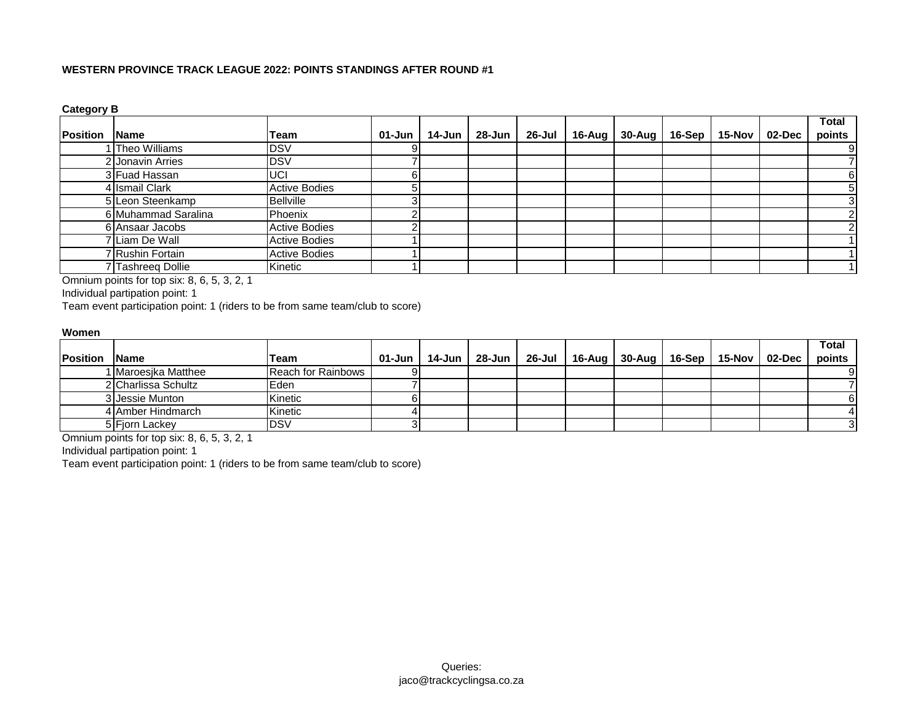**Category B**

|                 |                     |                      |        |        |        |           |                       |          |        |        | <b>Total</b>   |
|-----------------|---------------------|----------------------|--------|--------|--------|-----------|-----------------------|----------|--------|--------|----------------|
| <b>Position</b> | <b>Name</b>         | Team                 | 01-Jun | 14-Jun | 28-Jun | $26$ -Jul | 16-Aug $\vert$ 30-Aug | $16-Sep$ | 15-Nov | 02-Dec | points         |
|                 | Theo Williams       | <b>DSV</b>           |        |        |        |           |                       |          |        |        | 9              |
|                 | 2 Jonavin Arries    | <b>DSV</b>           |        |        |        |           |                       |          |        |        |                |
|                 | 3 Fuad Hassan       | UCI                  |        |        |        |           |                       |          |        |        | 61             |
|                 | 4 Ismail Clark      | <b>Active Bodies</b> |        |        |        |           |                       |          |        |        | 5.             |
|                 | 5 Leon Steenkamp    | <b>Bellville</b>     |        |        |        |           |                       |          |        |        | 3 <sup>1</sup> |
|                 | 6 Muhammad Saralina | Phoenix              |        |        |        |           |                       |          |        |        | ົ              |
|                 | 6 Ansaar Jacobs     | <b>Active Bodies</b> |        |        |        |           |                       |          |        |        |                |
|                 | 7 Liam De Wall      | <b>Active Bodies</b> |        |        |        |           |                       |          |        |        |                |
|                 | 7 Rushin Fortain    | <b>Active Bodies</b> |        |        |        |           |                       |          |        |        |                |
|                 | 7 Tashreeg Dollie   | Kinetic              |        |        |        |           |                       |          |        |        |                |

Omnium points for top six: 8, 6, 5, 3, 2, 1

Individual partipation point: 1

Team event participation point: 1 (riders to be from same team/club to score)

#### **Women**

|                 |                              |                    |            |          |  |                                                              |  |  | <b>Total</b> |
|-----------------|------------------------------|--------------------|------------|----------|--|--------------------------------------------------------------|--|--|--------------|
| <b>Position</b> | lName                        | <b>Team</b>        | $01 - Jun$ | 14-Jun l |  | 28-Jun   26-Jul   16-Aug   30-Aug   16-Sep   15-Nov   02-Dec |  |  | points       |
|                 | l <b>I</b> Maroesika Matthee | Reach for Rainbows |            |          |  |                                                              |  |  |              |
|                 | 2 Charlissa Schultz          | <b>IEden</b>       |            |          |  |                                                              |  |  |              |
|                 | 3 Jessie Munton              | Kinetic            |            |          |  |                                                              |  |  |              |
|                 | 4 Amber Hindmarch            | Kinetic            |            |          |  |                                                              |  |  |              |
|                 | 5 Fjorn Lackey               | IDSV               |            |          |  |                                                              |  |  |              |

Omnium points for top six: 8, 6, 5, 3, 2, 1

Individual partipation point: 1

Team event participation point: 1 (riders to be from same team/club to score)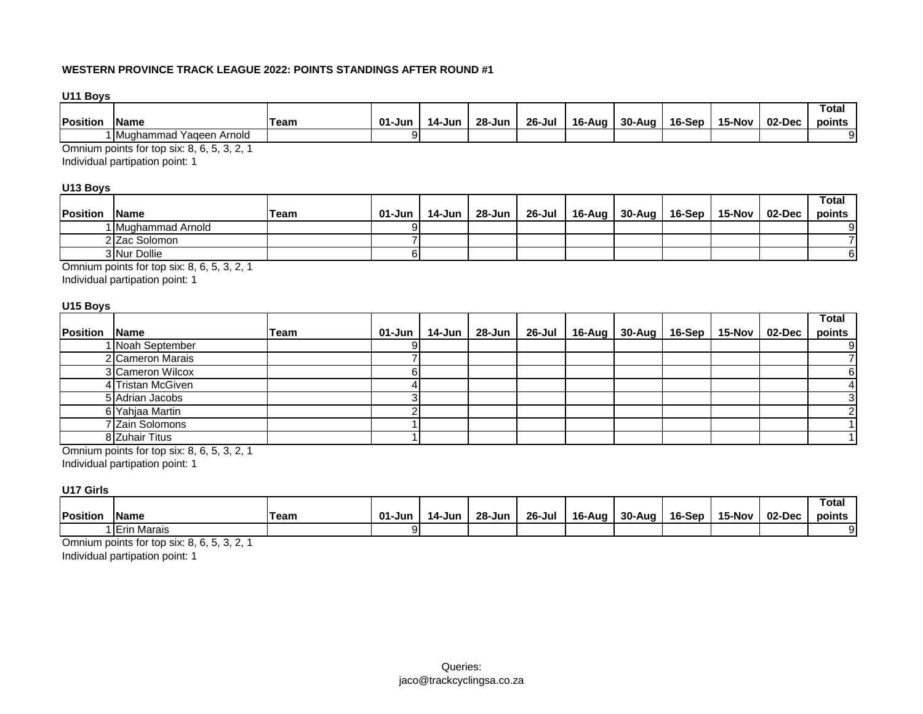**U11 Boys**

|          |                               |      |        |        |        |        |        |        |        |        |        | Tota.  |
|----------|-------------------------------|------|--------|--------|--------|--------|--------|--------|--------|--------|--------|--------|
| Position | <b>IName</b>                  | Team | 01-Jun | 14-Jun | 28-Jun | 26-Jul | 16-Aug | 30-Aug | 16-Sep | 15-Nov | 02-Dec | points |
|          | 1 Mughammad<br>'Yaqeen Arnold |      |        |        |        |        |        |        |        |        |        |        |

Omnium points for top six: 8, 6, 5, 3, 2, 1

Individual partipation point: 1

# **U13 Boys**

|                  |                     |      |        |        |          |  |                                   |                 | Total  |
|------------------|---------------------|------|--------|--------|----------|--|-----------------------------------|-----------------|--------|
| <b>IPosition</b> | <b>IName</b>        | Team | 01-Jun | 14-Jun | 28-Jun I |  | 26-Jul   16-Aug   30-Aug   16-Sep | 15-Nov   02-Dec | points |
|                  | 1  Mughammad Arnold |      |        |        |          |  |                                   |                 |        |
|                  | 2 Zac Solomon       |      |        |        |          |  |                                   |                 |        |
|                  | 3 Nur Dollie        |      |        |        |          |  |                                   |                 |        |

Omnium points for top six: 8, 6, 5, 3, 2, 1

Individual partipation point: 1

#### **U15 Boys**

|          |                   |             |        |        |        |                                                     |  |  | <b>Total</b> |
|----------|-------------------|-------------|--------|--------|--------|-----------------------------------------------------|--|--|--------------|
| Position | <b>Name</b>       | <b>Team</b> | 01-Jun | 14-Jun | 28-Jun | 26-Jul   16-Aug   30-Aug   16-Sep   15-Nov   02-Dec |  |  | points       |
|          | 1 Noah September  |             |        |        |        |                                                     |  |  | 91           |
|          | 2 Cameron Marais  |             |        |        |        |                                                     |  |  |              |
|          | 3 Cameron Wilcox  |             |        |        |        |                                                     |  |  |              |
|          | 4 Tristan McGiven |             |        |        |        |                                                     |  |  |              |
|          | 5 Adrian Jacobs   |             |        |        |        |                                                     |  |  |              |
|          | 6 Yahjaa Martin   |             |        |        |        |                                                     |  |  |              |
|          | 7 Zain Solomons   |             |        |        |        |                                                     |  |  |              |
|          | 8 Zuhair Titus    |             |        |        |        |                                                     |  |  |              |

Omnium points for top six: 8, 6, 5, 3, 2, 1

Individual partipation point: 1

### **U17 Girls**

|          |                  |      |        |        |        |            |        |        |        |        |        | Total  |
|----------|------------------|------|--------|--------|--------|------------|--------|--------|--------|--------|--------|--------|
| Position | <b>IName</b>     | Team | 01-Jun | 14-Jun | 28-Jun | $26 -$ Jul | 16-Aug | 30-Aug | 16-Sep | 15-Nov | 02-Dec | points |
|          | Marais<br>∣lErin |      |        |        |        |            |        |        |        |        |        | 91     |

Omnium points for top six: 8, 6, 5, 3, 2, 1

Individual partipation point: 1